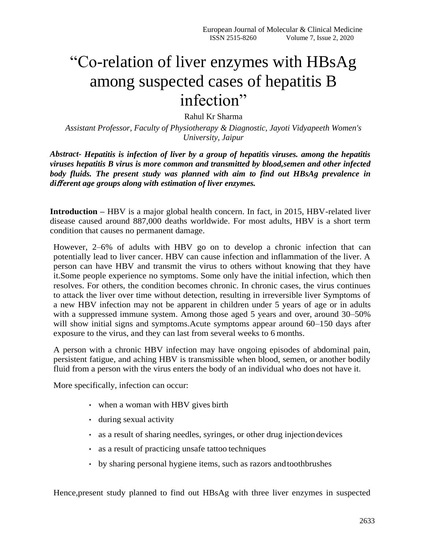# "Co-relation of liver enzymes with HBsAg among suspected cases of hepatitis B infection"

Rahul Kr Sharma

*Assistant Professor, Faculty of Physiotherapy & Diagnostic, Jayoti Vidyapeeth Women's University, Jaipur*

*Abstract- Hepatitis is infection of liver by a group of hepatitis viruses. among the hepatitis viruses hepatitis B virus is more common and transmitted by blood,semen and other infected body fluids. The present study was planned with aim to find out HBsAg prevalence in di*ff *erent age groups along with estimation of liver enzymes.*

**Introduction –** HBV is a major global health concern. In fact, in 2015, HBV-related liver disease caused around 887,000 deaths worldwide. For most adults, HBV is a short term condition that causes no permanent damage.

However, 2–6% of adults with HBV go on to develop a chronic infection that can potentially lead to liver cancer. HBV can cause infection and inflammation of the liver. A person can have HBV and transmit the virus to others without knowing that they have it.Some people experience no symptoms. Some only have the initial infection, which then resolves. For others, the condition becomes chronic. In chronic cases, the virus continues to attack the liver over time without detection, resulting in irreversible liver Symptoms of a new HBV infection may not be apparent in children under 5 years of age or in adults with a suppressed immune system. Among those aged 5 years and over, around 30–50% will show initial signs and symptoms.Acute symptoms appear around 60–150 days after exposure to the virus, and they can last from several weeks to 6 months.

A person with a chronic HBV infection may have ongoing episodes of abdominal pain, persistent fatigue, and aching HBV is transmissible when blood, semen, or another bodily fluid from a person with the virus enters the body of an individual who does not have it.

More specifically, infection can occur:

- when a woman with HBV gives birth
- during sexual activity
- as a result of sharing needles, syringes, or other drug injectiondevices
- as a result of practicing unsafe tattoo techniques
- by sharing personal hygiene items, such as razors andtoothbrushes

Hence,present study planned to find out HBsAg with three liver enzymes in suspected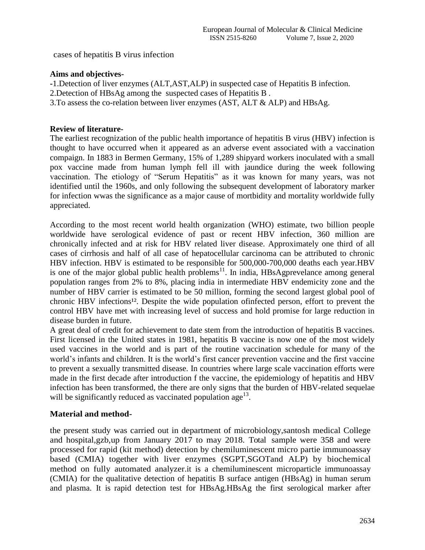cases of hepatitis B virus infection

# **Aims and objectives-**

**-**1.Detection of liver enzymes (ALT,AST,ALP) in suspected case of Hepatitis B infection.

- 2.Detection of HBsAg among the suspected cases of Hepatitis B .
- 3.To assess the co-relation between liver enzymes (AST, ALT & ALP) and HBsAg.

# **Review of literature-**

The earliest recognization of the public health importance of hepatitis B virus (HBV) infection is thought to have occurred when it appeared as an adverse event associated with a vaccination compaign. In 1883 in Bermen Germany, 15% of 1,289 shipyard workers inoculated with a small pox vaccine made from human lymph fell ill with jaundice during the week following vaccination. The etiology of "Serum Hepatitis" as it was known for many years, was not identified until the 1960s, and only following the subsequent development of laboratory marker for infection wwas the significance as a major cause of mortbidity and mortality worldwide fully appreciated.

According to the most recent world health organization (WHO) estimate, two billion people worldwide have serological evidence of past or recent HBV infection, 360 million are chronically infected and at risk for HBV related liver disease. Approximately one third of all cases of cirrhosis and half of all case of hepatocellular carcinoma can be attributed to chronic HBV infection. HBV is estimated to be responsible for 500,000-700,000 deaths each year.HBV is one of the major global public health problems<sup>11</sup>. In india,  $HBsAgprevelance$  among general population ranges from 2% to 8%, placing india in intermediate HBV endemicity zone and the number of HBV carrier is estimated to be 50 million, forming the second largest global pool of chronic HBV infections<sup>12</sup>. Despite the wide population of infected person, effort to prevent the control HBV have met with increasing level of success and hold promise for large reduction in disease burden in future.

A great deal of credit for achievement to date stem from the introduction of hepatitis B vaccines. First licensed in the United states in 1981, hepatitis B vaccine is now one of the most widely used vaccines in the world and is part of the routine vaccination schedule for many of the world's infants and children. It is the world's first cancer prevention vaccine and the first vaccine to prevent a sexually transmitted disease. In countries where large scale vaccination efforts were made in the first decade after introduction f the vaccine, the epidemiology of hepatitis and HBV infection has been transformed, the there are only signs that the burden of HBV-related sequelae will be significantly reduced as vaccinated population age<sup>13</sup>.

# **Material and method-**

the present study was carried out in department of microbiology,santosh medical College and hospital,gzb,up from January 2017 to may 2018. Total sample were 358 and were processed for rapid (kit method) detection by chemiluminescent micro partie immunoassay based (CMIA) together with liver enzymes (SGPT,SGOTand ALP) by biochemical method on fully automated analyzer.it is a chemiluminescent microparticle immunoassay (CMIA) for the qualitative detection of hepatitis B surface antigen (HBsAg) in human serum and plasma. It is rapid detection test for HBsAg.HBsAg the first serological marker after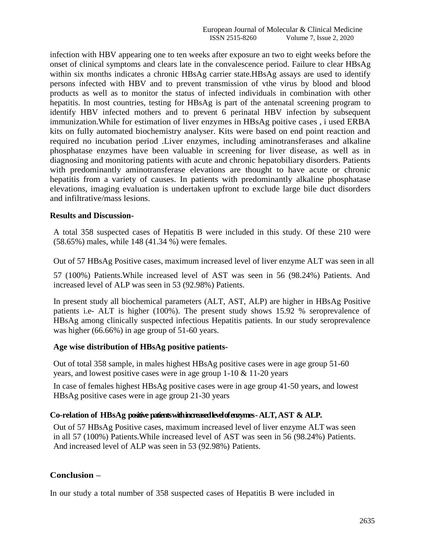infection with HBV appearing one to ten weeks after exposure an two to eight weeks before the onset of clinical symptoms and clears late in the convalescence period. Failure to clear HBsAg within six months indicates a chronic HBsAg carrier state.HBsAg assays are used to identify persons infected with HBV and to prevent transmission of vthe virus by blood and blood products as well as to monitor the status of infected individuals in combination with other hepatitis. In most countries, testing for HBsAg is part of the antenatal screening program to identify HBV infected mothers and to prevent 6 perinatal HBV infection by subsequent immunization.While for estimation of liver enzymes in HBsAg poitive cases , i used ERBA kits on fully automated biochemistry analyser. Kits were based on end point reaction and required no incubation period .Liver enzymes, including aminotransferases and alkaline phosphatase enzymes have been valuable in screening for liver disease, as well as in diagnosing and monitoring patients with acute and chronic hepatobiliary disorders. Patients with predominantly aminotransferase elevations are thought to have acute or chronic hepatitis from a variety of causes. In patients with predominantly alkaline phosphatase elevations, imaging evaluation is undertaken upfront to exclude large bile duct disorders and infiltrative/mass lesions.

#### **Results and Discussion-**

A total 358 suspected cases of Hepatitis B were included in this study. Of these 210 were (58.65%) males, while 148 (41.34 %) were females.

Out of 57 HBsAg Positive cases, maximum increased level of liver enzyme ALT was seen in all

57 (100%) Patients.While increased level of AST was seen in 56 (98.24%) Patients. And increased level of ALP was seen in 53 (92.98%) Patients.

In present study all biochemical parameters (ALT, AST, ALP) are higher in HBsAg Positive patients i.e- ALT is higher (100%). The present study shows 15.92 % seroprevalence of HBsAg among clinically suspected infectious Hepatitis patients. In our study seroprevalence was higher (66.66%) in age group of 51-60 years.

#### **Age wise distribution of HBsAg positive patients-**

Out of total 358 sample, in males highest HBsAg positive cases were in age group 51-60 years, and lowest positive cases were in age group 1-10 & 11-20 years

In case of females highest HBsAg positive cases were in age group 41-50 years, and lowest HBsAg positive cases were in age group 21-30 years

#### **Co-relation of HBsAg positive patients with increased level of enzymes -ALT, AST & ALP.**

Out of 57 HBsAg Positive cases, maximum increased level of liver enzyme ALT was seen in all 57 (100%) Patients.While increased level of AST was seen in 56 (98.24%) Patients. And increased level of ALP was seen in 53 (92.98%) Patients.

#### **Conclusion –**

In our study a total number of 358 suspected cases of Hepatitis B were included in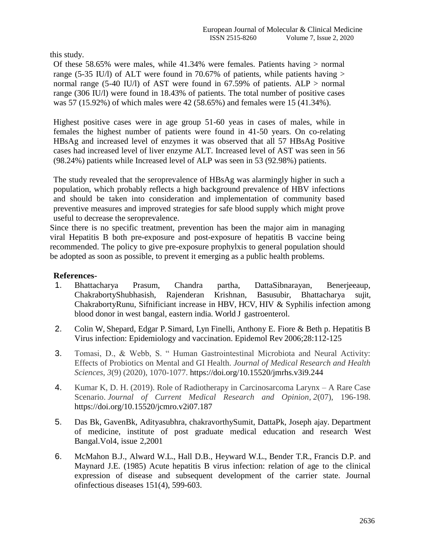this study.

Of these 58.65% were males, while 41.34% were females. Patients having > normal range (5-35 IU/l) of ALT were found in 70.67% of patients, while patients having  $>$ normal range (5-40 IU/l) of AST were found in 67.59% of patients.  $ALP >$  normal range (306 IU/l) were found in 18.43% of patients. The total number of positive cases was 57 (15.92%) of which males were 42 (58.65%) and females were 15 (41.34%).

Highest positive cases were in age group 51-60 yeas in cases of males, while in females the highest number of patients were found in 41-50 years. On co-relating HBsAg and increased level of enzymes it was observed that all 57 HBsAg Positive cases had increased level of liver enzyme ALT. Increased level of AST was seen in 56 (98.24%) patients while Increased level of ALP was seen in 53 (92.98%) patients.

The study revealed that the seroprevalence of HBsAg was alarmingly higher in such a population, which probably reflects a high background prevalence of HBV infections and should be taken into consideration and implementation of community based preventive measures and improved strategies for safe blood supply which might prove useful to decrease the seroprevalence.

Since there is no specific treatment, prevention has been the major aim in managing viral Hepatitis B both pre-exposure and post-exposure of hepatitis B vaccine being recommended. The policy to give pre-exposure prophylxis to general population should be adopted as soon as possible, to prevent it emerging as a public health problems.

# **References-**

- 1. Bhattacharya Prasum, Chandra partha, DattaSibnarayan, Benerjeeaup, ChakrabortyShubhasish, Rajenderan Krishnan, Basusubir, Bhattacharya sujit, ChakrabortyRunu, Sifnificiant increase in HBV, HCV, HIV & Syphilis infection among blood donor in west bangal, eastern india. World J gastroenterol.
- 2. Colin W, Shepard, Edgar P. Simard, Lyn Finelli, Anthony E. Fiore & Beth p. Hepatitis B Virus infection: Epidemiology and vaccination. Epidemol Rev 2006;28:112-125
- 3. Tomasi, D., & Webb, S. " Human Gastrointestinal Microbiota and Neural Activity: Effects of Probiotics on Mental and GI Health. *Journal of Medical Research and Health Sciences*, *3*(9) (2020), 1070-1077. https://doi.org/10.15520/jmrhs.v3i9.244
- 4. Kumar K, D. H. (2019). Role of Radiotherapy in Carcinosarcoma Larynx A Rare Case Scenario. *Journal of Current Medical Research and Opinion*, *2*(07), 196-198. https://doi.org/10.15520/jcmro.v2i07.187
- 5. Das Bk, GavenBk, Adityasubhra, chakravorthySumit, DattaPk, Joseph ajay. Department of medicine, institute of post graduate medical education and research West Bangal.Vol4, issue 2,2001
- 6. McMahon B.J., Alward W.L., Hall D.B., Heyward W.L., Bender T.R., Francis D.P. and Maynard J.E. (1985) Acute hepatitis B virus infection: relation of age to the clinical expression of disease and subsequent development of the carrier state. Journal ofinfectious diseases 151(4), 599-603.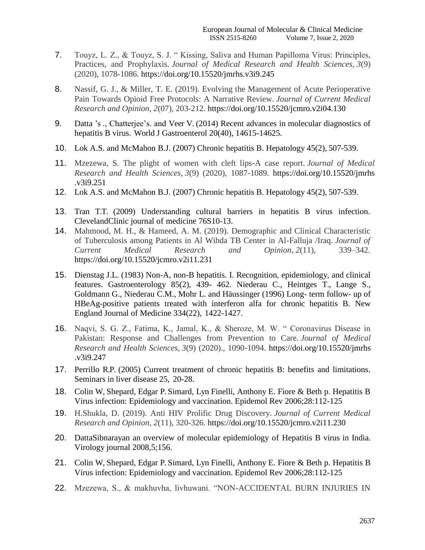- 7. Touyz, L. Z., & Touyz, S. J. " Kissing, Saliva and Human Papilloma Virus: Principles, Practices, and Prophylaxis. *Journal of Medical Research and Health Sciences*, *3*(9) (2020), 1078-1086. https://doi.org/10.15520/jmrhs.v3i9.245
- 8. Nassif, G. J., & Miller, T. E. (2019). Evolving the Management of Acute Perioperative Pain Towards Opioid Free Protocols: A Narrative Review. *Journal of Current Medical Research and Opinion*, *2*(07), 203-212. https://doi.org/10.15520/jcmro.v2i04.130
- 9. Datta 's ., Chatterjee's. and Veer V. (2014) Recent advances in molecular diagnostics of hepatitis B virus. World J Gastroenterol 20(40), 14615-14625.
- 10. Lok A.S. and McMahon B.J. (2007) Chronic hepatitis B. Hepatology 45(2), 507-539.
- 11. Mzezewa, S. The plight of women with cleft lips-A case report. *Journal of Medical Research and Health Sciences*, *3*(9) (2020), 1087-1089. https://doi.org/10.15520/jmrhs .v3i9.251
- 12. Lok A.S. and McMahon B.J. (2007) Chronic hepatitis B. Hepatology 45(2), 507-539.
- 13. Tran T.T. (2009) Understanding cultural barriers in hepatitis B virus infection. ClevelandClinic journal of medicine 76S10-13.
- 14. Mahmood, M. H., & Hameed, A. M. (2019). Demographic and Clinical Characteristic of Tuberculosis among Patients in Al Wihda TB Center in Al-Falluja /Iraq. *Journal of Current Medical Research and Opinion*, *2*(11), 339–342. https://doi.org/10.15520/jcmro.v2i11.231
- 15. Dienstag J.L. (1983) Non-A, non-B hepatitis. I. Recognition, epidemiology, and clinical features. Gastroenterology 85(2), 439- 462. Niederau C., Heintges T., Lange S., Goldmann G., Niederau C.M., Mohr L. and Häussinger (1996) Long- term follow- up of HBeAg-positive patients treated with interferon alfa for chronic hepatitis B. New England Journal of Medicine 334(22), 1422-1427.
- 16. Naqvi, S. G. Z., Fatima, K., Jamal, K., & Sheroze, M. W. " Coronavirus Disease in Pakistan: Response and Challenges from Prevention to Care. *Journal of Medical Research and Health Sciences*, *3*(9) (2020)., 1090-1094. https://doi.org/10.15520/jmrhs .v3i9.247
- 17. Perrillo R.P. (2005) Current treatment of chronic hepatitis B: benefits and limitations. Seminars in liver disease 25, 20-28.
- 18. Colin W, Shepard, Edgar P. Simard, Lyn Finelli, Anthony E. Fiore & Beth p. Hepatitis B Virus infection: Epidemiology and vaccination. Epidemol Rev 2006;28:112-125
- 19. H.Shukla, D. (2019). Anti HIV Prolific Drug Discovery. *Journal of Current Medical Research and Opinion*, *2*(11), 320-326. https://doi.org/10.15520/jcmro.v2i11.230
- 20. DattaSibnarayan an overview of molecular epidemiology of Hepatitis B virus in India. Virology journal 2008,5;156.
- 21. Colin W, Shepard, Edgar P. Simard, Lyn Finelli, Anthony E. Fiore & Beth p. Hepatitis B Virus infection: Epidemiology and vaccination. Epidemol Rev 2006;28:112-125
- 22. Mzezewa, S., & makhuvha, livhuwani. "NON-ACCIDENTAL BURN INJURIES IN